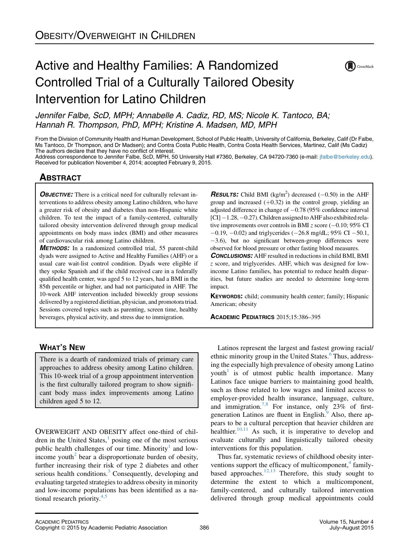# Active and Healthy Families: A Randomized Controlled Trial of a Culturally Tailored Obesity Intervention for Latino Children



Jennifer Falbe, ScD, MPH; Annabelle A. Cadiz, RD, MS; Nicole K. Tantoco, BA; Hannah R. Thompson, PhD, MPH; Kristine A. Madsen, MD, MPH

From the Division of Community Health and Human Development, School of Public Health, University of California, Berkeley, Calif (Dr Falbe, Ms Tantoco, Dr Thompson, and Dr Madsen); and Contra Costa Public Health, Contra Costa Health Services, Martinez, Calif (Ms Cadiz) The authors declare that they have no conflict of interest.

Address correspondence to Jennifer Falbe, ScD, MPH, 50 University Hall #7360, Berkeley, CA 94720-7360 (e-mail: [jfalbe@berkeley.edu\)](mailto:jfalbe@berkeley.edu). Received for publication November 4, 2014; accepted February 9, 2015.

## **ABSTRACT**

**OBJECTIVE:** There is a critical need for culturally relevant interventions to address obesity among Latino children, who have a greater risk of obesity and diabetes than non-Hispanic white children. To test the impact of a family-centered, culturally tailored obesity intervention delivered through group medical appointments on body mass index (BMI) and other measures of cardiovascular risk among Latino children.

METHODS: In a randomized controlled trial, 55 parent-child dyads were assigned to Active and Healthy Families (AHF) or a usual care wait-list control condition. Dyads were eligible if they spoke Spanish and if the child received care in a federally qualified health center, was aged 5 to 12 years, had a BMI in the 85th percentile or higher, and had not participated in AHF. The 10-week AHF intervention included biweekly group sessions delivered by a registered dietitian, physician, and promotora triad. Sessions covered topics such as parenting, screen time, healthy beverages, physical activity, and stress due to immigration.

### WHAT'S NEW

There is a dearth of randomized trials of primary care approaches to address obesity among Latino children. This 10-week trial of a group appointment intervention is the first culturally tailored program to show significant body mass index improvements among Latino children aged 5 to 12.

OVERWEIGHT AND OBESITY affect one-third of children in the United States, $\frac{1}{1}$  $\frac{1}{1}$  $\frac{1}{1}$  posing one of the most serious public health challenges of our time. Minority<sup>[1](#page-8-0)</sup> and low-income youth<sup>[2](#page-8-0)</sup> bear a disproportionate burden of obesity, further increasing their risk of type 2 diabetes and other serious health conditions.<sup>[3](#page-8-0)</sup> Consequently, developing and evaluating targeted strategies to address obesity in minority and low-income populations has been identified as a national research priority. $4,5$ 

**RESULTS:** Child BMI (kg/m<sup>2</sup>) decreased  $(-0.50)$  in the AHF group and increased  $(+0.32)$  in the control group, yielding an adjusted difference in change of  $-0.78$  (95% confidence interval  $[CI] - 1.28, -0.27$ . Children assigned to AHF also exhibited relative improvements over controls in BMI z score  $(-0.10; 95\% \text{ CI})$  $-0.19, -0.02$ ) and triglycerides ( $-26.8$  mg/dL; 95% CI  $-50.1$ ,  $-3.6$ ), but no significant between-group differences were observed for blood pressure or other fasting blood measures.

CONCLUSIONS: AHF resulted in reductions in child BMI, BMI z score, and triglycerides. AHF, which was designed for lowincome Latino families, has potential to reduce health disparities, but future studies are needed to determine long-term impact.

**KEYWORDS:** child; community health center; family; Hispanic American; obesity

ACADEMIC PEDIATRICS 2015;15:386–395

Latinos represent the largest and fastest growing racial/ ethnic minority group in the United States.<sup>[6](#page-8-0)</sup> Thus, addressing the especially high prevalence of obesity among Latino youth is of utmost public health importance. Many Latinos face unique barriers to maintaining good health, such as those related to low wages and limited access to employer-provided health insurance, language, culture, and immigration.<sup>[7,8](#page-8-0)</sup> For instance, only  $23\%$  of first-generation Latinos are fluent in English.<sup>[9](#page-8-0)</sup> Also, there appears to be a cultural perception that heavier children are healthier.<sup>[10,11](#page-8-0)</sup> As such, it is imperative to develop and evaluate culturally and linguistically tailored obesity interventions for this population.

Thus far, systematic reviews of childhood obesity inter-ventions support the efficacy of multicomponent,<sup>[4](#page-8-0)</sup> familybased approaches. $12,13$  Therefore, this study sought to determine the extent to which a multicomponent, family-centered, and culturally tailored intervention delivered through group medical appointments could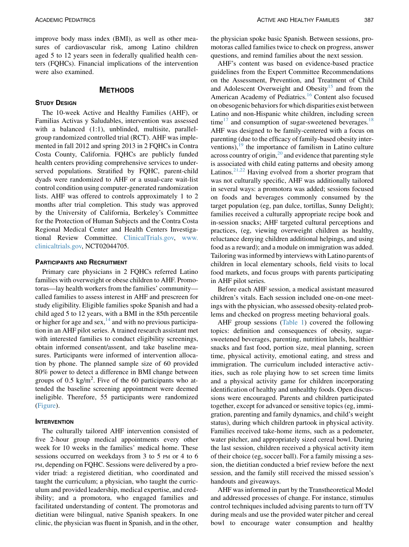#### **METHODS**

#### **STUDY DESIGN**

The 10-week Active and Healthy Families (AHF), or Familias Activas y Saludables, intervention was assessed with a balanced (1:1), unblinded, multisite, parallelgroup randomized controlled trial (RCT). AHF was implemented in fall 2012 and spring 2013 in 2 FQHCs in Contra Costa County, California. FQHCs are publicly funded health centers providing comprehensive services to underserved populations. Stratified by FQHC, parent-child dyads were randomized to AHF or a usual-care wait-list control condition using computer-generated randomization lists. AHF was offered to controls approximately 1 to 2 months after trial completion. This study was approved by the University of California, Berkeley's Committee for the Protection of Human Subjects and the Contra Costa Regional Medical Center and Health Centers Investigational Review Committee. [ClinicalTrials.gov,](http://ClinicalTrials.gov) [www.](http://www.clinicaltrials.gov) [clinicaltrials.gov,](http://www.clinicaltrials.gov) NCT02044705.

#### PARTICIPANTS AND RECRUITMENT

Primary care physicians in 2 FQHCs referred Latino families with overweight or obese children to AHF. Promotoras—lay health workers from the families' community called families to assess interest in AHF and prescreen for study eligibility. Eligible families spoke Spanish and had a child aged 5 to 12 years, with a BMI in the 85th percentile or higher for age and sex,  $14$  and with no previous participation in an AHF pilot series. A trained research assistant met with interested families to conduct eligibility screenings, obtain informed consent/assent, and take baseline measures. Participants were informed of intervention allocation by phone. The planned sample size of 60 provided 80% power to detect a difference in BMI change between groups of 0.5 kg/m<sup>2</sup>. Five of the 60 participants who attended the baseline screening appointment were deemed ineligible. Therefore, 55 participants were randomized ([Figure\)](#page-2-0).

#### **INTERVENTION**

The culturally tailored AHF intervention consisted of five 2-hour group medical appointments every other week for 10 weeks in the families' medical home. These sessions occurred on weekdays from 3 to 5 PM or 4 to 6 PM, depending on FQHC. Sessions were delivered by a provider triad: a registered dietitian, who coordinated and taught the curriculum; a physician, who taught the curriculum and provided leadership, medical expertise, and credibility; and a promotora, who engaged families and facilitated understanding of content. The promotoras and dietitian were bilingual, native Spanish speakers. In one clinic, the physician was fluent in Spanish, and in the other,

the physician spoke basic Spanish. Between sessions, promotoras called families twice to check on progress, answer questions, and remind families about the next session.

AHF's content was based on evidence-based practice guidelines from the Expert Committee Recommendations on the Assessment, Prevention, and Treatment of Child and Adolescent Overweight and Obesity<sup>15</sup> and from the American Academy of Pediatrics.<sup>[16](#page-8-0)</sup> Content also focused on obesogenic behaviors for which disparities exist between Latino and non-Hispanic white children, including screen time<sup>17</sup> and consumption of sugar-sweetened beverages.<sup>18</sup> AHF was designed to be family-centered with a focus on parenting (due to the efficacy of family-based obesity interventions), $19$  the importance of familism in Latino culture across country of origin, $^{20}$  $^{20}$  $^{20}$  and evidence that parenting style is associated with child eating patterns and obesity among Latinos.<sup>[21,22](#page-9-0)</sup> Having evolved from a shorter program that was not culturally specific, AHF was additionally tailored in several ways: a promotora was added; sessions focused on foods and beverages commonly consumed by the target population (eg, pan dulce, tortillas, Sunny Delight); families received a culturally appropriate recipe book and in-session snacks; AHF targeted cultural perceptions and practices, (eg, viewing overweight children as healthy, reluctance denying children additional helpings, and using food as a reward); and a module on immigration was added. Tailoring was informed by interviews with Latino parents of children in local elementary schools, field visits to local food markets, and focus groups with parents participating in AHF pilot series.

Before each AHF session, a medical assistant measured children's vitals. Each session included one-on-one meetings with the physician, who assessed obesity-related problems and checked on progress meeting behavioral goals.

AHF group sessions ([Table 1](#page-3-0)) covered the following topics: definition and consequences of obesity, sugarsweetened beverages, parenting, nutrition labels, healthier snacks and fast food, portion size, meal planning, screen time, physical activity, emotional eating, and stress and immigration. The curriculum included interactive activities, such as role playing how to set screen time limits and a physical activity game for children incorporating identification of healthy and unhealthy foods. Open discussions were encouraged. Parents and children participated together, except for advanced or sensitive topics (eg, immigration, parenting and family dynamics, and child's weight status), during which children partook in physical activity. Families received take-home items, such as a pedometer, water pitcher, and appropriately sized cereal bowl. During the last session, children received a physical activity item of their choice (eg, soccer ball). For a family missing a session, the dietitian conducted a brief review before the next session, and the family still received the missed session's handouts and giveaways.

AHF was informed in part by the Transtheoretical Model and addressed processes of change. For instance, stimulus control techniques included advising parents to turn off TV during meals and use the provided water pitcher and cereal bowl to encourage water consumption and healthy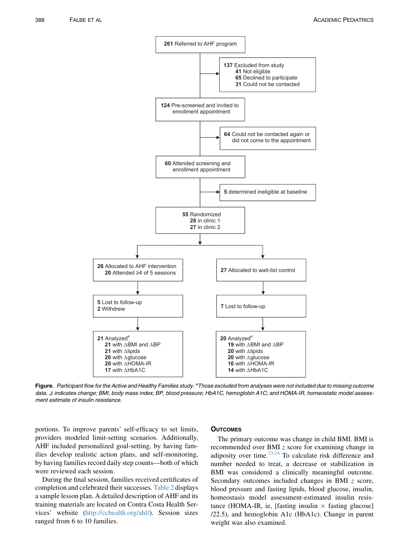<span id="page-2-0"></span>

Figure. Participant flow for the Active and Healthy Families study. <sup>a</sup> Those excluded from analyses were not included due to missing outcome data. A indicates change; BMI, body mass index; BP, blood pressure; HbA1C, hemoglobin A1C; and HOMA-IR, homeostatic model assessment estimate of insulin resistance.

portions. To improve parents' self-efficacy to set limits, providers modeled limit-setting scenarios. Additionally, AHF included personalized goal-setting, by having families develop realistic action plans, and self-monitoring, by having families record daily step counts—both of which were reviewed each session.

During the final session, families received certificates of completion and celebrated their successes. [Table 2](#page-4-0) displays a sample lesson plan. A detailed description of AHF and its training materials are located on Contra Costa Health Services' website [\(http://cchealth.org/ahf/\)](http://cchealth.org/ahf/). Session sizes ranged from 6 to 10 families.

#### **OUTCOMES**

The primary outcome was change in child BMI. BMI is recommended over BMI z score for examining change in adiposity over time.<sup>[23,24](#page-9-0)</sup> To calculate risk difference and number needed to treat, a decrease or stabilization in BMI was considered a clinically meaningful outcome. Secondary outcomes included changes in BMI z score, blood pressure and fasting lipids, blood glucose, insulin, homeostasis model assessment-estimated insulin resistance (HOMA-IR, ie, [fasting insulin  $\times$  fasting glucose] /22.5), and hemoglobin A1c (HbA1c). Change in parent weight was also examined.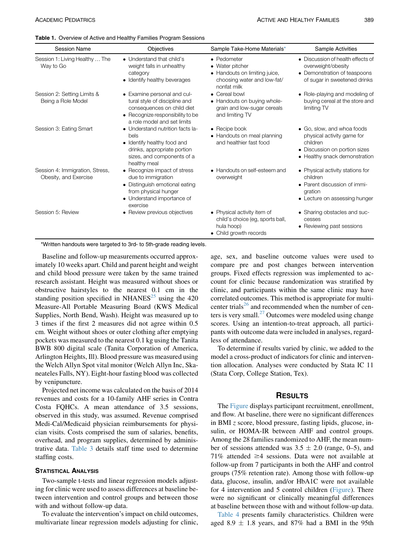<span id="page-3-0"></span>

| Table 1. Overview of Active and Healthy Families Program Sessions |  |
|-------------------------------------------------------------------|--|
|-------------------------------------------------------------------|--|

| <b>Session Name</b>                                      | <b>Objectives</b>                                                                                                                                             | Sample Take-Home Materials*                                                                                           | Sample Activities                                                                                                                      |
|----------------------------------------------------------|---------------------------------------------------------------------------------------------------------------------------------------------------------------|-----------------------------------------------------------------------------------------------------------------------|----------------------------------------------------------------------------------------------------------------------------------------|
| Session 1: Living Healthy  The<br>Way to Go              | • Understand that child's<br>weight falls in unhealthy<br>category<br>• Identify healthy beverages                                                            | $\bullet$ Pedometer<br>• Water pitcher<br>• Handouts on limiting juice,<br>choosing water and low-fat/<br>nonfat milk | • Discussion of health effects of<br>overweight/obesity<br>• Demonstration of teaspoons<br>of sugar in sweetened drinks                |
| Session 2: Setting Limits &<br>Being a Role Model        | • Examine personal and cul-<br>tural style of discipline and<br>consequences on child diet<br>• Recognize responsibility to be<br>a role model and set limits | • Cereal bowl<br>• Handouts on buying whole-<br>grain and low-sugar cereals<br>and limiting TV                        | • Role-playing and modeling of<br>buying cereal at the store and<br>limiting TV                                                        |
| Session 3: Eating Smart                                  | • Understand nutrition facts la-<br>bels<br>• Identify healthy food and<br>drinks, appropriate portion<br>sizes, and components of a<br>healthy meal          | • Recipe book<br>• Handouts on meal planning<br>and healthier fast food                                               | • Go, slow, and whoa foods<br>physical activity game for<br>children<br>• Discussion on portion sizes<br>• Healthy snack demonstration |
| Session 4: Immigration, Stress,<br>Obesity, and Exercise | • Recognize impact of stress<br>due to immigration<br>• Distinguish emotional eating<br>from physical hunger<br>• Understand importance of<br>exercise        | • Handouts on self-esteem and<br>overweight                                                                           | • Physical activity stations for<br>children<br>• Parent discussion of immi-<br>gration<br>• Lecture on assessing hunger               |
| Session 5: Review                                        | • Review previous objectives                                                                                                                                  | • Physical activity item of<br>child's choice (eg, sports ball,<br>hula hoop)<br>• Child growth records               | • Sharing obstacles and suc-<br>cesses<br>• Reviewing past sessions                                                                    |

\*Written handouts were targeted to 3rd- to 5th-grade reading levels.

Baseline and follow-up measurements occurred approximately 10 weeks apart. Child and parent height and weight and child blood pressure were taken by the same trained research assistant. Height was measured without shoes or obstructive hairstyles to the nearest 0.1 cm in the standing position specified in NHANES<sup>[25](#page-9-0)</sup> using the  $420$ Measure-All Portable Measuring Board (KWS Medical Supplies, North Bend, Wash). Height was measured up to 3 times if the first 2 measures did not agree within 0.5 cm. Weight without shoes or outer clothing after emptying pockets was measured to the nearest 0.1 kg using the Tanita BWB 800 digital scale (Tanita Corporation of America, Arlington Heights, Ill). Blood pressure was measured using the Welch Allyn Spot vital monitor (Welch Allyn Inc, Skaneateles Falls, NY). Eight-hour fasting blood was collected by venipuncture.

Projected net income was calculated on the basis of 2014 revenues and costs for a 10-family AHF series in Contra Costa FQHCs. A mean attendance of 3.5 sessions, observed in this study, was assumed. Revenue comprised Medi-Cal/Medicaid physician reimbursements for physician visits. Costs comprised the sum of salaries, benefits, overhead, and program supplies, determined by administrative data. [Table 3](#page-5-0) details staff time used to determine staffing costs.

#### STATISTICAL ANALYSIS

Two-sample t-tests and linear regression models adjusting for clinic were used to assess differences at baseline between intervention and control groups and between those with and without follow-up data.

To evaluate the intervention's impact on child outcomes, multivariate linear regression models adjusting for clinic,

age, sex, and baseline outcome values were used to compare pre and post changes between intervention groups. Fixed effects regression was implemented to account for clinic because randomization was stratified by clinic, and participants within the same clinic may have correlated outcomes. This method is appropriate for multicenter trials $^{26}$  $^{26}$  $^{26}$  and recommended when the number of cen-ters is very small.<sup>[27](#page-9-0)</sup> Outcomes were modeled using change scores. Using an intention-to-treat approach, all participants with outcome data were included in analyses, regardless of attendance.

To determine if results varied by clinic, we added to the model a cross-product of indicators for clinic and intervention allocation. Analyses were conducted by Stata IC 11 (Stata Corp, College Station, Tex).

#### RESULTS

The [Figure](#page-2-0) displays participant recruitment, enrollment, and flow. At baseline, there were no significant differences in BMI z score, blood pressure, fasting lipids, glucose, insulin, or HOMA-IR between AHF and control groups. Among the 28 families randomized to AHF, the mean number of sessions attended was  $3.5 \pm 2.0$  (range, 0–5), and 71% attended  $\geq$ 4 sessions. Data were not available at follow-up from 7 participants in both the AHF and control groups (75% retention rate). Among those with follow-up data, glucose, insulin, and/or HbA1C were not available for 4 intervention and 5 control children ([Figure\)](#page-2-0). There were no significant or clinically meaningful differences at baseline between those with and without follow-up data.

[Table 4](#page-5-0) presents family characteristics. Children were aged 8.9  $\pm$  1.8 years, and 87% had a BMI in the 95th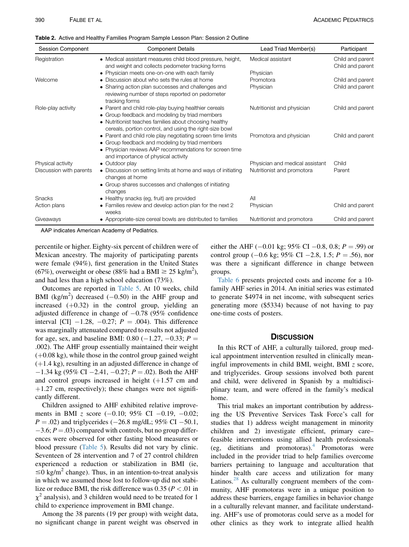| <b>Session Component</b> | <b>Component Details</b>                                                                                                                                                                                                     | Lead Triad Member(s)            | Participant      |
|--------------------------|------------------------------------------------------------------------------------------------------------------------------------------------------------------------------------------------------------------------------|---------------------------------|------------------|
| Registration             | • Medical assistant measures child blood pressure, height,                                                                                                                                                                   | Medical assistant               | Child and parent |
|                          | and weight and collects pedometer tracking forms                                                                                                                                                                             |                                 | Child and parent |
|                          | • Physician meets one-on-one with each family                                                                                                                                                                                | Physician                       |                  |
| Welcome                  | • Discussion about who sets the rules at home                                                                                                                                                                                | Promotora                       | Child and parent |
|                          | • Sharing action plan successes and challenges and<br>reviewing number of steps reported on pedometer<br>tracking forms                                                                                                      | Physician                       | Child and parent |
| Role-play activity       | • Parent and child role-play buying healthier cereals<br>• Group feedback and modeling by triad members<br>• Nutritionist teaches families about choosing healthy<br>cereals, portion control, and using the right-size bowl | Nutritionist and physician      | Child and parent |
|                          | • Parent and child role play negotiating screen time limits<br>• Group feedback and modeling by triad members<br>• Physician reviews AAP recommendations for screen time<br>and importance of physical activity              | Promotora and physician         | Child and parent |
| Physical activity        | • Outdoor play                                                                                                                                                                                                               | Physician and medical assistant | Child            |
| Discussion with parents  | • Discussion on setting limits at home and ways of initiating<br>changes at home<br>• Group shares successes and challenges of initiating<br>changes                                                                         | Nutritionist and promotora      | Parent           |
| Snacks                   | • Healthy snacks (eg, fruit) are provided                                                                                                                                                                                    | All                             |                  |
| Action plans             | • Families review and develop action plan for the next 2<br>weeks                                                                                                                                                            | Physician                       | Child and parent |
| Giveaways                | • Appropriate-size cereal bowls are distributed to families                                                                                                                                                                  | Nutritionist and promotora      | Child and parent |

<span id="page-4-0"></span>Table 2. Active and Healthy Families Program Sample Lesson Plan: Session 2 Outline

AAP indicates American Academy of Pediatrics.

percentile or higher. Eighty-six percent of children were of Mexican ancestry. The majority of participating parents were female (94%), first generation in the United States (67%), overweight or obese (88% had a BMI  $\geq$  25 kg/m<sup>2</sup>), and had less than a high school education (73%).

Outcomes are reported in [Table 5](#page-6-0). At 10 weeks, child BMI (kg/m<sup>2</sup>) decreased (-0.50) in the AHF group and increased  $(+0.32)$  in the control group, yielding an adjusted difference in change of  $-0.78$  (95% confidence interval [CI]  $-1.28$ ,  $-0.27$ ;  $P = .004$ ). This difference was marginally attenuated compared to results not adjusted for age, sex, and baseline BMI: 0.80 ( $-1.27, -0.33; P =$ .002). The AHF group essentially maintained their weight  $(+0.08 \text{ kg})$ , while those in the control group gained weight  $(+1.4 \text{ kg})$ , resulting in an adjusted difference in change of  $-1.34$  kg (95% CI  $-2.41$ ,  $-0.27$ ;  $P = .02$ ). Both the AHF and control groups increased in height  $(+1.57 \text{ cm}$  and  $+1.27$  cm, respectively); these changes were not significantly different.

Children assigned to AHF exhibited relative improvements in BMI z score  $(-0.10; 95\% \text{ CI} -0.19, -0.02;$  $P = .02$ ) and triglycerides (-26.8 mg/dL; 95% CI -50.1,  $-3.6; P = .03$  compared with controls, but no group differences were observed for other fasting blood measures or blood pressure [\(Table 5](#page-6-0)). Results did not vary by clinic. Seventeen of 28 intervention and 7 of 27 control children experienced a reduction or stabilization in BMI (ie,  $\leq$ 0 kg/m<sup>2</sup> change). Thus, in an intention-to-treat analysis in which we assumed those lost to follow-up did not stabilize or reduce BMI, the risk difference was 0.35 ( $P < 01$  in  $\chi^2$  analysis), and 3 children would need to be treated for 1 child to experience improvement in BMI change.

Among the 38 parents (19 per group) with weight data, no significant change in parent weight was observed in either the AHF (-0.01 kg; 95% CI -0.8, 0.8; P = .99) or control group  $(-0.6 \text{ kg}; 95\% \text{ CI} -2.8, 1.5; P = .56)$ , nor was there a significant difference in change between groups.

[Table 6](#page-7-0) presents projected costs and income for a 10 family AHF series in 2014. An initial series was estimated to generate \$4974 in net income, with subsequent series generating more (\$5334) because of not having to pay one-time costs of posters.

#### **DISCUSSION**

In this RCT of AHF, a culturally tailored, group medical appointment intervention resulted in clinically meaningful improvements in child BMI, weight, BMI z score, and triglycerides. Group sessions involved both parent and child, were delivered in Spanish by a multidisciplinary team, and were offered in the family's medical home.

This trial makes an important contribution by addressing the US Preventive Services Task Force's call for studies that 1) address weight management in minority children and 2) investigate efficient, primary care– feasible interventions using allied health professionals (eg, dietitians and promotoras). $<sup>4</sup>$  $<sup>4</sup>$  $<sup>4</sup>$  Promotoras were</sup> included in the provider triad to help families overcome barriers pertaining to language and acculturation that hinder health care access and utilization for many Latinos. $^{28}$  $^{28}$  $^{28}$  As culturally congruent members of the community, AHF promotoras were in a unique position to address these barriers, engage families in behavior change in a culturally relevant manner, and facilitate understanding. AHF's use of promotoras could serve as a model for other clinics as they work to integrate allied health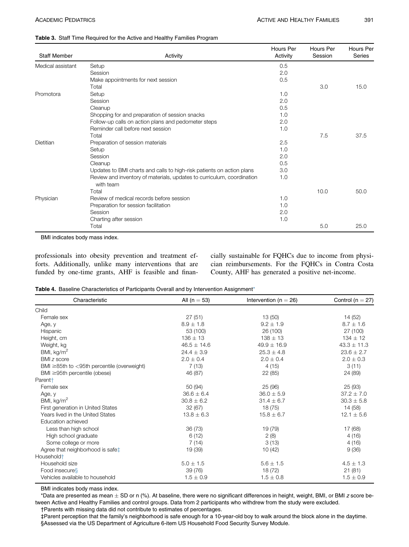#### <span id="page-5-0"></span>Table 3. Staff Time Required for the Active and Healthy Families Program

| <b>Staff Member</b> | Activity                                                                            | Hours Per<br>Activity | Hours Per<br>Session | Hours Per<br>Series |
|---------------------|-------------------------------------------------------------------------------------|-----------------------|----------------------|---------------------|
| Medical assistant   | Setup                                                                               | 0.5                   |                      |                     |
|                     | Session                                                                             | 2.0                   |                      |                     |
|                     | Make appointments for next session                                                  | 0.5                   |                      |                     |
|                     | Total                                                                               |                       | 3.0                  | 15.0                |
| Promotora           | Setup                                                                               | 1.0                   |                      |                     |
|                     | Session                                                                             | 2.0                   |                      |                     |
|                     | Cleanup                                                                             | 0.5                   |                      |                     |
|                     | Shopping for and preparation of session snacks                                      | 1.0                   |                      |                     |
|                     | Follow-up calls on action plans and pedometer steps                                 | 2.0                   |                      |                     |
|                     | Reminder call before next session                                                   | 1.0                   |                      |                     |
|                     | Total                                                                               |                       | 7.5                  | 37.5                |
| Dietitian           | Preparation of session materials                                                    | 2.5                   |                      |                     |
|                     | Setup                                                                               | 1.0                   |                      |                     |
|                     | Session                                                                             | 2.0                   |                      |                     |
|                     | Cleanup                                                                             | 0.5                   |                      |                     |
|                     | Updates to BMI charts and calls to high-risk patients on action plans               | 3.0                   |                      |                     |
|                     | Review and inventory of materials, updates to curriculum, coordination<br>with team | 1.0                   |                      |                     |
|                     | Total                                                                               |                       | 10.0                 | 50.0                |
| Physician           | Review of medical records before session                                            | 1.0                   |                      |                     |
|                     | Preparation for session facilitation                                                | 1.0                   |                      |                     |
|                     | Session                                                                             | 2.0                   |                      |                     |
|                     | Charting after session                                                              | 1.0                   |                      |                     |
|                     | Total                                                                               |                       | 5.0                  | 25.0                |

BMI indicates body mass index.

professionals into obesity prevention and treatment efforts. Additionally, unlike many interventions that are funded by one-time grants, AHF is feasible and financially sustainable for FQHCs due to income from physician reimbursements. For the FQHCs in Contra Costa County, AHF has generated a positive net-income.

Table 4. Baseline Characteristics of Participants Overall and by Intervention Assignment\*

| Characteristic                                        | All ( $n = 53$ ) | Intervention ( $n = 26$ ) | Control ( $n = 27$ ) |
|-------------------------------------------------------|------------------|---------------------------|----------------------|
| Child                                                 |                  |                           |                      |
| Female sex                                            | 27(51)           | 13(50)                    | 14 (52)              |
| Age, y                                                | $8.9 \pm 1.8$    | $9.2 \pm 1.9$             | $8.7 \pm 1.6$        |
| Hispanic                                              | 53 (100)         | 26 (100)                  | 27 (100)             |
| Height, cm                                            | $136 \pm 13$     | $138 \pm 13$              | $134 \pm 12$         |
| Weight, kg                                            | $46.5 \pm 14.6$  | $49.9 \pm 16.9$           | $43.3 \pm 11.3$      |
| BMI, kg/m <sup>2</sup>                                | $24.4 \pm 3.9$   | $25.3 \pm 4.8$            | $23.6 \pm 2.7$       |
| BMI z score                                           | $2.0 \pm 0.4$    | $2.0 \pm 0.4$             | $2.0 \pm 0.3$        |
| BMI $\geq$ 85th to $\lt$ 95th percentile (overweight) | 7(13)            | 4(15)                     | 3(11)                |
| $BMI \geq 95th$ percentile (obese)                    | 46 (87)          | 22 (85)                   | 24 (89)              |
| Parent <sup>+</sup>                                   |                  |                           |                      |
| Female sex                                            | 50 (94)          | 25 (96)                   | 25(93)               |
| Age, y                                                | $36.6 \pm 6.4$   | $36.0 \pm 5.9$            | $37.2 \pm 7.0$       |
| BMI, $kg/m2$                                          | $30.8 \pm 6.2$   | $31.4 \pm 6.7$            | $30.3 \pm 5.8$       |
| First generation in United States                     | 32(67)           | 18 (75)                   | 14 (58)              |
| Years lived in the United States                      | $13.8 \pm 6.3$   | $15.8 \pm 6.7$            | $12.1 \pm 5.6$       |
| Education achieved                                    |                  |                           |                      |
| Less than high school                                 | 36(73)           | 19 (79)                   | 17 (68)              |
| High school graduate                                  | 6(12)            | 2(8)                      | 4(16)                |
| Some college or more                                  | 7(14)            | 3(13)                     | 4(16)                |
| Agree that neighborhood is safet                      | 19 (39)          | 10(42)                    | 9(36)                |
| Household <sup>+</sup>                                |                  |                           |                      |
| Household size                                        | $5.0 \pm 1.5$    | $5.6 \pm 1.5$             | $4.5 \pm 1.3$        |
| Food insecure <sup>§</sup>                            | 39 (76)          | 18 (72)                   | 21(81)               |
| Vehicles available to household                       | $1.5 \pm 0.9$    | $1.5 \pm 0.8$             | $1.5 \pm 0.9$        |

BMI indicates body mass index.

\*Data are presented as mean  $\pm$  SD or n (%). At baseline, there were no significant differences in height, weight, BMI, or BMI z score between Active and Healthy Families and control groups. Data from 2 participants who withdrew from the study were excluded.

†Parents with missing data did not contribute to estimates of percentages.

‡Parent perception that the family's neighborhood is safe enough for a 10-year-old boy to walk around the block alone in the daytime. §Assessed via the US Department of Agriculture 6-item US Household Food Security Survey Module.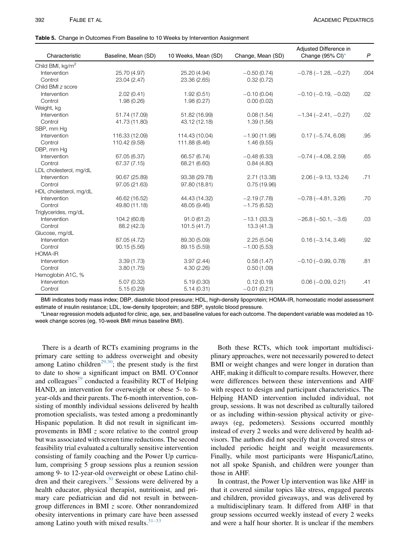#### <span id="page-6-0"></span>Table 5. Change in Outcomes From Baseline to 10 Weeks by Intervention Assignment

| Characteristic               | Baseline, Mean (SD) | 10 Weeks, Mean (SD) | Change, Mean (SD) | Adjusted Difference in<br>Change (95% CI)* | $\boldsymbol{P}$ |
|------------------------------|---------------------|---------------------|-------------------|--------------------------------------------|------------------|
| Child BMI, kg/m <sup>2</sup> |                     |                     |                   |                                            |                  |
| Intervention                 | 25.70 (4.97)        | 25.20 (4.94)        | $-0.50(0.74)$     | $-0.78(-1.28, -0.27)$                      | .004             |
| Control                      | 23.04 (2.47)        | 23.36 (2.65)        | 0.32(0.72)        |                                            |                  |
| Child BMI z score            |                     |                     |                   |                                            |                  |
| Intervention                 | 2.02(0.41)          | 1.92(0.51)          | $-0.10(0.04)$     | $-0.10$ ( $-0.19$ , $-0.02$ )              | .02              |
| Control                      | 1.98(0.26)          | 1.98(0.27)          | 0.00(0.02)        |                                            |                  |
| Weight, kg                   |                     |                     |                   |                                            |                  |
| Intervention                 | 51.74 (17.09)       | 51.82 (16.99)       | 0.08(1.54)        | $-1.34(-2.41, -0.27)$                      | .02              |
| Control                      | 41.73 (11.80)       | 43.12 (12.18)       | 1.39(1.56)        |                                            |                  |
| SBP, mm Hq                   |                     |                     |                   |                                            |                  |
| Intervention                 | 116.33 (12.09)      | 114.43 (10.04)      | $-1.90(11.98)$    | $0.17 (-5.74, 6.08)$                       | .95              |
| Control                      | 110.42 (9.58)       | 111.88 (8.46)       | 1.46(9.55)        |                                            |                  |
| DBP, mm Hq                   |                     |                     |                   |                                            |                  |
| Intervention                 | 67.05 (6.37)        | 66.57 (6.74)        | $-0.48(6.33)$     | $-0.74(-4.08, 2.59)$                       | .65              |
| Control                      | 67.37 (7.15)        | 68.21 (6.60)        | 0.84(4.80)        |                                            |                  |
| LDL cholesterol, mg/dL       |                     |                     |                   |                                            |                  |
| Intervention                 | 90.67 (25.89)       | 93.38 (29.78)       | 2.71 (13.38)      | $2.06(-9.13, 13.24)$                       | .71              |
| Control                      | 97.05 (21.63)       | 97.80 (18.81)       | 0.75(19.96)       |                                            |                  |
| HDL cholesterol, mg/dL       |                     |                     |                   |                                            |                  |
| Intervention                 | 46.62 (16.52)       | 44.43 (14.32)       | $-2.19(7.78)$     | $-0.78(-4.81, 3.26)$                       | .70              |
| Control                      | 49.80 (11.18)       | 48.05 (9.46)        | $-1.75(6.52)$     |                                            |                  |
| Triglycerides, mg/dL         |                     |                     |                   |                                            |                  |
| Intervention                 | 104.2 (60.8)        | 91.0(61.2)          | $-13.1(33.3)$     | $-26.8(-50.1, -3.6)$                       | .03              |
| Control                      | 88.2 (42.3)         | 101.5(41.7)         | 13.3(41.3)        |                                            |                  |
| Glucose, mg/dL               |                     |                     |                   |                                            |                  |
| Intervention                 | 87.05 (4.72)        | 89.30 (5.09)        | 2.25(5.04)        | $0.16(-3.14, 3.46)$                        | .92              |
| Control                      | 90.15(5.56)         | 89.15 (5.59)        | $-1.00(5.53)$     |                                            |                  |
| <b>HOMA-IR</b>               |                     |                     |                   |                                            |                  |
| Intervention                 | 3.39(1.73)          | 3.97(2.44)          | 0.58(1.47)        | $-0.10$ ( $-0.99$ , 0.78)                  | .81              |
| Control                      | 3.80(1.75)          | 4.30(2.26)          | 0.50(1.09)        |                                            |                  |
| Hemoglobin A1C, %            |                     |                     |                   |                                            |                  |
| Intervention                 | 5.07 (0.32)         | 5.19(0.30)          | 0.12(0.19)        | $0.06 (-0.09, 0.21)$                       | .41              |
| Control                      | 5.15(0.29)          | 5.14(0.31)          | $-0.01(0.21)$     |                                            |                  |

BMI indicates body mass index; DBP, diastolic blood pressure; HDL, high-density lipoprotein; HOMA-IR, homeostatic model assessment estimate of insulin resistance; LDL, low-density lipoprotein; and SBP, systolic blood pressure.

\*Linear regression models adjusted for clinic, age, sex, and baseline values for each outcome. The dependent variable was modeled as 10 week change scores (eg, 10-week BMI minus baseline BMI).

There is a dearth of RCTs examining programs in the primary care setting to address overweight and obesity among Latino children<sup>[29,30](#page-9-0)</sup>; the present study is the first to date to show a significant impact on BMI. O'Connor and colleagues $^{29}$  $^{29}$  $^{29}$  conducted a feasibility RCT of Helping HAND, an intervention for overweight or obese 5- to 8 year-olds and their parents. The 6-month intervention, consisting of monthly individual sessions delivered by health promotion specialists, was tested among a predominantly Hispanic population. It did not result in significant improvements in BMI z score relative to the control group but was associated with screen time reductions. The second feasibility trial evaluated a culturally sensitive intervention consisting of family coaching and the Power Up curriculum, comprising 5 group sessions plus a reunion session among 9- to 12-year-old overweight or obese Latino children and their caregivers.<sup>30</sup> Sessions were delivered by a health educator, physical therapist, nutritionist, and primary care pediatrician and did not result in betweengroup differences in BMI z score. Other nonrandomized obesity interventions in primary care have been assessed among Latino youth with mixed results. $31-33$ 

Both these RCTs, which took important multidisciplinary approaches, were not necessarily powered to detect BMI or weight changes and were longer in duration than AHF, making it difficult to compare results. However, there were differences between these interventions and AHF with respect to design and participant characteristics. The Helping HAND intervention included individual, not group, sessions. It was not described as culturally tailored or as including within-session physical activity or giveaways (eg, pedometers). Sessions occurred monthly instead of every 2 weeks and were delivered by health advisors. The authors did not specify that it covered stress or included periodic height and weight measurements. Finally, while most participants were Hispanic/Latino, not all spoke Spanish, and children were younger than those in AHF.

In contrast, the Power Up intervention was like AHF in that it covered similar topics like stress, engaged parents and children, provided giveaways, and was delivered by a multidisciplinary team. It differed from AHF in that group sessions occurred weekly instead of every 2 weeks and were a half hour shorter. It is unclear if the members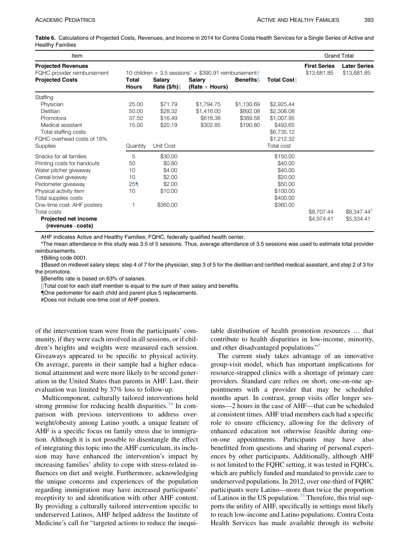<span id="page-7-0"></span>Table 6. Calculations of Projected Costs, Revenues, and Income in 2014 for Contra Costa Health Services for a Single Series of Active and Healthy Families

| Item                                                                               |                       |                                  |                                                                                                        |                 |            |                                    | <b>Grand Total</b>                 |
|------------------------------------------------------------------------------------|-----------------------|----------------------------------|--------------------------------------------------------------------------------------------------------|-----------------|------------|------------------------------------|------------------------------------|
| <b>Projected Revenues</b><br>FQHC provider reimbursement<br><b>Projected Costs</b> | Total<br><b>Hours</b> | Salary<br>Rate $(\frac{5}{h})^+$ | 10 children $\times$ 3.5 sessions* $\times$ \$390.91 reimbursement†<br>Salary<br>(Rate $\times$ Hours) | <b>Benefits</b> | Total Cost | <b>First Series</b><br>\$13,681.85 | <b>Later Series</b><br>\$13,681.85 |
| Staffing                                                                           |                       |                                  |                                                                                                        |                 |            |                                    |                                    |
| Physician                                                                          | 25.00                 | \$71.79                          | \$1,794.75                                                                                             | \$1,130.69      | \$2,925.44 |                                    |                                    |
| Dietitian                                                                          | 50.00                 | \$28.32                          | \$1,416.00                                                                                             | \$892.08        | \$2,308.08 |                                    |                                    |
| Promotora                                                                          | 37.50                 | \$16.49                          | \$618.38                                                                                               | \$389.58        | \$1,007.95 |                                    |                                    |
| Medical assistant                                                                  | 15.00                 | \$20.19                          | \$302.85                                                                                               | \$190.80        | \$493.65   |                                    |                                    |
| Total staffing costs                                                               |                       |                                  |                                                                                                        |                 | \$6,735.12 |                                    |                                    |
| FOHC overhead costs of 18%                                                         |                       |                                  |                                                                                                        |                 | \$1,212.32 |                                    |                                    |
| Supplies                                                                           | Quantity              | Unit Cost                        |                                                                                                        |                 | Total cost |                                    |                                    |
| Snacks for all families                                                            | 5                     | \$30.00                          |                                                                                                        |                 | \$150.00   |                                    |                                    |
| Printing costs for handouts                                                        | 50                    | \$0.80                           |                                                                                                        |                 | \$40.00    |                                    |                                    |
| Water pitcher giveaway                                                             | 10                    | \$4.00                           |                                                                                                        |                 | \$40.00    |                                    |                                    |
| Cereal bowl giveaway                                                               | 10                    | \$2.00                           |                                                                                                        |                 | \$20,00    |                                    |                                    |
| Pedometer giveaway                                                                 | 25 <sub>1</sub>       | \$2.00                           |                                                                                                        |                 | \$50.00    |                                    |                                    |
| Physical activity item                                                             | 10                    | \$10.00                          |                                                                                                        |                 | \$100.00   |                                    |                                    |
| Total supplies costs                                                               |                       |                                  |                                                                                                        |                 | \$400.00   |                                    |                                    |
| One-time cost: AHF posters                                                         |                       | \$360.00                         |                                                                                                        |                 | \$360.00   |                                    |                                    |
| Total costs                                                                        |                       |                                  |                                                                                                        |                 |            | \$8,707.44                         | $$8,347.44$ <sup>#</sup>           |
| Projected net income<br>(revenues-costs)                                           |                       |                                  |                                                                                                        |                 |            | \$4,974.41                         | \$5,334.41                         |

AHF indicates Active and Healthy Families; FQHC, federally qualified health center.

\*The mean attendance in this study was 3.5 of 5 sessions. Thus, average attendance of 3.5 sessions was used to estimate total provider reimbursements.

†Billing code 0001.

‡Based on midlevel salary steps: step 4 of 7 for the physician, step 3 of 5 for the dietitian and certified medical assistant, and step 2 of 3 for the promotora.

§Benefits rate is based on 63% of salaries.

jjTotal cost for each staff member is equal to the sum of their salary and benefits.

{One pedometer for each child and parent plus 5 replacements.

#Does not include one-time cost of AHF posters.

of the intervention team were from the participants' community, if they were each involved in all sessions, or if children's heights and weights were measured each session. Giveaways appeared to be specific to physical activity. On average, parents in their sample had a higher educational attainment and were more likely to be second generation in the United States than parents in AHF. Last, their evaluation was limited by 37% loss to follow-up.

Multicomponent, culturally tailored interventions hold strong promise for reducing health disparities. $34$  In comparison with previous interventions to address overweight/obesity among Latino youth, a unique feature of AHF is a specific focus on family stress due to immigration. Although it is not possible to disentangle the effect of integrating this topic into the AHF curriculum, its inclusion may have enhanced the intervention's impact by increasing families' ability to cope with stress-related influences on diet and weight. Furthermore, acknowledging the unique concerns and experiences of the population regarding immigration may have increased participants' receptivity to and identification with other AHF content. By providing a culturally tailored intervention specific to underserved Latinos, AHF helped address the Institute of Medicine's call for "targeted actions to reduce the inequi-

table distribution of health promotion resources ... that contribute to health disparities in low-income, minority, and other disadvantaged populations."

The current study takes advantage of an innovative group-visit model, which has important implications for resource-strapped clinics with a shortage of primary care providers. Standard care relies on short, one-on-one appointments with a provider that may be scheduled months apart. In contrast, group visits offer longer sessions—2 hours in the case of AHF—that can be scheduled at consistent times. AHF triad members each had a specific role to ensure efficiency, allowing for the delivery of enhanced education not otherwise feasible during oneon-one appointments. Participants may have also benefitted from questions and sharing of personal experiences by other participants. Additionally, although AHF is not limited to the FQHC setting, it was tested in FQHCs, which are publicly funded and mandated to provide care to underserved populations. In 2012, over one-third of FQHC participants were Latino—more than twice the proportion of Latinos in the US population.<sup>[35](#page-9-0)</sup> Therefore, this trial supports the utility of AHF, specifically in settings most likely to reach low-income and Latino populations. Contra Costa Health Services has made available through its website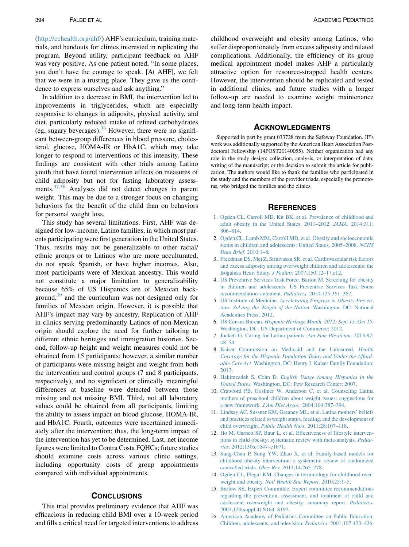<span id="page-8-0"></span>(<http://cchealth.org/ahf/>) AHF's curriculum, training materials, and handouts for clinics interested in replicating the program. Beyond utility, participant feedback on AHF was very positive. As one patient noted, "In some places, you don't have the courage to speak. [At AHF], we felt that we were in a trusting place. They gave us the confidence to express ourselves and ask anything."

In addition to a decrease in BMI, the intervention led to improvements in triglycerides, which are especially responsive to changes in adiposity, physical activity, and diet, particularly reduced intake of refined carbohydrates (eg, sugary beverages).  $36$  However, there were no significant between-group differences in blood pressure, cholesterol, glucose, HOMA-IR or HbA1C, which may take longer to respond to interventions of this intensity. These findings are consistent with other trials among Latino youth that have found intervention effects on measures of child adiposity but not for fasting laboratory assessments.[37,38](#page-9-0) Analyses did not detect changes in parent weight. This may be due to a stronger focus on changing behaviors for the benefit of the child than on behaviors for personal weight loss.

This study has several limitations. First, AHF was designed for low-income, Latino families, in which most parents participating were first generation in the United States. Thus, results may not be generalizable to other racial/ ethnic groups or to Latinos who are more acculturated, do not speak Spanish, or have higher incomes. Also, most participants were of Mexican ancestry. This would not constitute a major limitation to generalizability because 65% of US Hispanics are of Mexican background, $39$  and the curriculum was not designed only for families of Mexican origin. However, it is possible that AHF's impact may vary by ancestry. Replication of AHF in clinics serving predominantly Latinos of non-Mexican origin should explore the need for further tailoring to different ethnic heritages and immigration histories. Second, follow-up height and weight measures could not be obtained from 15 participants; however, a similar number of participants were missing height and weight from both the intervention and control groups (7 and 8 participants, respectively), and no significant or clinically meaningful differences at baseline were detected between those missing and not missing BMI. Third, not all laboratory values could be obtained from all participants, limiting the ability to assess impact on blood glucose, HOMA-IR, and HbA1C. Fourth, outcomes were ascertained immediately after the intervention; thus, the long-term impact of the intervention has yet to be determined. Last, net income figures were limited to Contra Costa FQHCs; future studies should examine costs across various clinic settings, including opportunity costs of group appointments compared with individual appointments.

#### **CONCLUSIONS**

This trial provides preliminary evidence that AHF was efficacious in reducing child BMI over a 10-week period and fills a critical need for targeted interventions to address

childhood overweight and obesity among Latinos, who suffer disproportionately from excess adiposity and related complications. Additionally, the efficiency of its group medical appointment model makes AHF a particularly attractive option for resource-strapped health centers. However, the intervention should be replicated and tested in additional clinics, and future studies with a longer follow-up are needed to examine weight maintenance and long-term health impact.

#### ACKNOWLEDGMENTS

Supported in part by grant 033728 from the Safeway Foundation. JF's work was additionally supported by the American Heart Association Postdoctoral Fellowship (14POST20140055). Neither organization had any role in the study design; collection, analysis, or interpretation of data; writing of the manuscript; or the decision to submit the article for publication. The authors would like to thank the families who participated in the study and the members of the provider triads, especially the promotoras, who bridged the families and the clinics.

#### **REFERENCES**

- 1. [Ogden CL, Carroll MD, Kit BK, et al. Prevalence of childhood and](http://refhub.elsevier.com/S1876-2859(15)00046-7/sref1) [adult obesity in the United States, 2011–2012.](http://refhub.elsevier.com/S1876-2859(15)00046-7/sref1) JAMA. 2014;311: [806–814.](http://refhub.elsevier.com/S1876-2859(15)00046-7/sref1)
- 2. [Ogden CL, Lamb MM, Carroll MD, et al. Obesity and socioeconomic](http://refhub.elsevier.com/S1876-2859(15)00046-7/sref2) [status in children and adolescents: United States, 2005–2008.](http://refhub.elsevier.com/S1876-2859(15)00046-7/sref2) NCHS Data Brief[. 2010;1–8.](http://refhub.elsevier.com/S1876-2859(15)00046-7/sref2)
- 3. [Freedman DS, Mei Z, Srinivasan SR, et al. Cardiovascular risk factors](http://refhub.elsevier.com/S1876-2859(15)00046-7/sref3) [and excess adiposity among overweight children and adolescents: the](http://refhub.elsevier.com/S1876-2859(15)00046-7/sref3) [Bogalusa Heart Study.](http://refhub.elsevier.com/S1876-2859(15)00046-7/sref3) J Pediatr. 2007;150:12–17.e12.
- 4. [US Preventive Services Task Force. Barton M. Screening for obesity](http://refhub.elsevier.com/S1876-2859(15)00046-7/sref4) [in children and adolescents: US Preventive Services Task Force](http://refhub.elsevier.com/S1876-2859(15)00046-7/sref4) [recommendation statement.](http://refhub.elsevier.com/S1876-2859(15)00046-7/sref4) Pediatrics. 2010;125:361–367.
- 5. US Institute of Medicine. [Accelerating Progress in Obesity Preven](http://refhub.elsevier.com/S1876-2859(15)00046-7/sref5)[tion: Solving the Weight of the Nation](http://refhub.elsevier.com/S1876-2859(15)00046-7/sref5). Washington, DC: National [Academies Press; 2012.](http://refhub.elsevier.com/S1876-2859(15)00046-7/sref5)
- 6. US Census Bureau. [Hispanic Heritage Month, 2012: Sept 15–Oct 15](http://refhub.elsevier.com/S1876-2859(15)00046-7/sref6). [Washington, DC: US Department of Commerce; 2012](http://refhub.elsevier.com/S1876-2859(15)00046-7/sref6).
- 7. [Juckett G. Caring for Latino patients.](http://refhub.elsevier.com/S1876-2859(15)00046-7/sref7) Am Fam Physician. 2013;87: [48–54](http://refhub.elsevier.com/S1876-2859(15)00046-7/sref7).
- 8. [Kaiser Commission on Medicaid and the Uninsured.](http://refhub.elsevier.com/S1876-2859(15)00046-7/sref8) Health [Coverage for the Hispanic Population Today and Under the Afford](http://refhub.elsevier.com/S1876-2859(15)00046-7/sref8)able Care Act[. Washington, DC: Henry J. Kaiser Family Foundation;](http://refhub.elsevier.com/S1876-2859(15)00046-7/sref8) [2013](http://refhub.elsevier.com/S1876-2859(15)00046-7/sref8).
- 9. Hakimzadeh S, Cohn D. [English Usage Among Hispanics in the](http://refhub.elsevier.com/S1876-2859(15)00046-7/sref9) United States[. Washington, DC: Pew Research Center; 2007.](http://refhub.elsevier.com/S1876-2859(15)00046-7/sref9)
- 10. [Crawford PB, Gosliner W, Anderson C, et al. Counseling Latina](http://refhub.elsevier.com/S1876-2859(15)00046-7/sref10) [mothers of preschool children about weight issues: suggestions for](http://refhub.elsevier.com/S1876-2859(15)00046-7/sref10) a new framework. J Am Diet Assoc[. 2004;104:387–394](http://refhub.elsevier.com/S1876-2859(15)00046-7/sref10).
- 11. [Lindsay AC, Sussner KM, Greaney ML, et al. Latina mothers' beliefs](http://refhub.elsevier.com/S1876-2859(15)00046-7/sref11) [and practices related to weight status, feeding, and the development of](http://refhub.elsevier.com/S1876-2859(15)00046-7/sref11) child overweight. [Public Health Nurs](http://refhub.elsevier.com/S1876-2859(15)00046-7/sref11). 2011;28:107–118.
- 12. [Ho M, Garnett SP, Baur L, et al. Effectiveness of lifestyle interven](http://refhub.elsevier.com/S1876-2859(15)00046-7/sref12)[tions in child obesity: systematic review with meta-analysis.](http://refhub.elsevier.com/S1876-2859(15)00046-7/sref12) Pediatrics[. 2012;130:e1647–e1671](http://refhub.elsevier.com/S1876-2859(15)00046-7/sref12).
- 13. [Sung-Chan P, Sung YW, Zhao X, et al. Family-based models for](http://refhub.elsevier.com/S1876-2859(15)00046-7/sref13) [childhood-obesity intervention: a systematic review of randomized](http://refhub.elsevier.com/S1876-2859(15)00046-7/sref13) controlled trials. Obes Rev[. 2013;14:265–278](http://refhub.elsevier.com/S1876-2859(15)00046-7/sref13).
- 14. [Ogden CL, Flegal KM. Changes in terminology for childhood over-](http://refhub.elsevier.com/S1876-2859(15)00046-7/sref14)weight and obesity. [Natl Health Stat Report](http://refhub.elsevier.com/S1876-2859(15)00046-7/sref14). 2010;25:1-5.
- 15. [Barlow SE, Expert Committee. Expert committee recommendations](http://refhub.elsevier.com/S1876-2859(15)00046-7/sref15) [regarding the prevention, assessment, and treatment of child and](http://refhub.elsevier.com/S1876-2859(15)00046-7/sref15) [adolescent overweight and obesity: summary report.](http://refhub.elsevier.com/S1876-2859(15)00046-7/sref15) Pediatrics. [2007;120\(suppl 4\):S164–S192.](http://refhub.elsevier.com/S1876-2859(15)00046-7/sref15)
- 16. [American Academy of Pediatrics Committee on Public Education.](http://refhub.elsevier.com/S1876-2859(15)00046-7/sref16) [Children, adolescents, and television.](http://refhub.elsevier.com/S1876-2859(15)00046-7/sref16) Pediatrics. 2001;107:423–426.